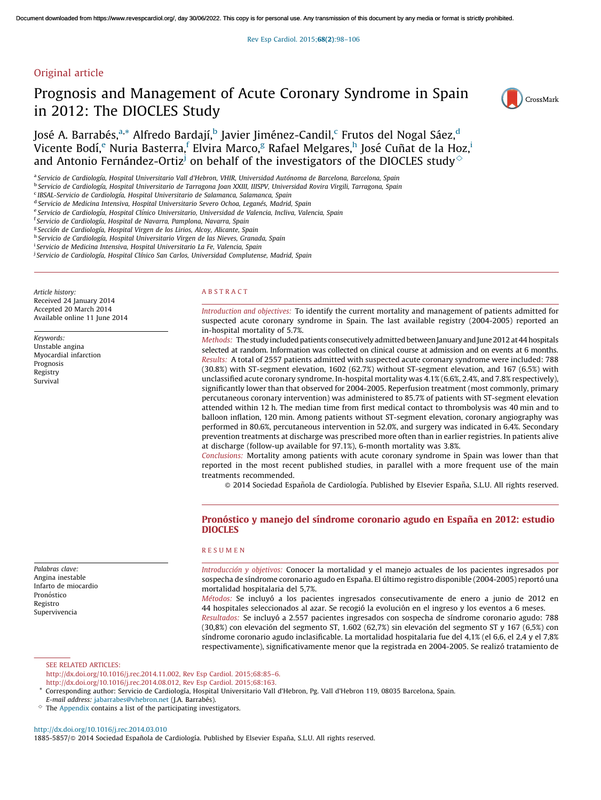Rev Esp Cardiol. 2015;68(2)[:98–106](http://dx.doi.org/10.1016/j.rec.2014.03.010)

# Original article

# Prognosis and Management of Acute Coronary Syndrome in Spain in 2012: The DIOCLES Study



José A. Barrabés,<sup>a,</sup>\* Alfredo Bardají,<sup>b</sup> Javier Jiménez-Candil,<sup>c</sup> Frutos del Nogal Sáez,<sup>d</sup> Vicente Bodí,<sup>e</sup> Nuria Basterra,<sup>f</sup> Elvira Marco,<sup>g</sup> Rafael Melgares,<sup>h</sup> José Cuñat de la Hoz,<sup>i</sup> and Antonio Fernández-Ortiz<sup>j</sup> on behalf of the investigators of the DIOCLES study<sup> $\diamond$ </sup>

a *Servicio de Cardiologı´a, Hospital Universitario Vall d'Hebron, VHIR, Universidad Auto´noma de Barcelona, Barcelona, Spain*

<sup>b</sup> Servicio de Cardiología, Hospital Universitario de Tarragona Joan XXIII, IIISPV, Universidad Rovira Virgili, Tarragona, Spain

d *Servicio de Medicina Intensiva, Hospital Universitario Severo Ochoa, Legane´s, Madrid, Spain*

f *Servicio de Cardiologı´a, Hospital de Navarra, Pamplona, Navarra, Spain*

g *Seccio´n de Cardiologı´a, Hospital Virgen de los Lirios, Alcoy, Alicante, Spain*

h *Servicio de Cardiologı´a, Hospital Universitario Virgen de las Nieves, Granada, Spain*

i *Servicio de Medicina Intensiva, Hospital Universitario La Fe, Valencia, Spain*

j *Servicio de Cardiologı´a, Hospital Clı´nico San Carlos, Universidad Complutense, Madrid, Spain*

*Article history:* Received 24 January 2014 Accepted 20 March 2014 Available online 11 June 2014

*Keywords:* Unstable angina Myocardial infarction Prognosis Registry Survival

*Palabras clave:* Angina inestable Infarto de miocardio Pronóstico Registro Supervivencia

#### A B S T R A C T

*Introduction and objectives:* To identify the current mortality and management of patients admitted for suspected acute coronary syndrome in Spain. The last available registry (2004-2005) reported an in-hospital mortality of 5.7%.

*Methods:* The study included patients consecutively admitted between January and June 2012 at 44 hospitals selected at random. Information was collected on clinical course at admission and on events at 6 months. *Results:* A total of 2557 patients admitted with suspected acute coronary syndrome were included: 788 (30.8%) with ST-segment elevation, 1602 (62.7%) without ST-segment elevation, and 167 (6.5%) with unclassified acute coronary syndrome. In-hospital mortality was 4.1% (6.6%, 2.4%, and 7.8% respectively), significantly lower than that observed for 2004-2005. Reperfusion treatment (most commonly, primary percutaneous coronary intervention) was administered to 85.7% of patients with ST-segment elevation attended within 12 h. The median time from first medical contact to thrombolysis was 40 min and to balloon inflation, 120 min. Among patients without ST-segment elevation, coronary angiography was performed in 80.6%, percutaneous intervention in 52.0%, and surgery was indicated in 6.4%. Secondary prevention treatments at discharge was prescribed more often than in earlier registries. In patients alive at discharge (follow-up available for 97.1%), 6-month mortality was 3.8%.

*Conclusions:* Mortality among patients with acute coronary syndrome in Spain was lower than that reported in the most recent published studies, in parallel with a more frequent use of the main treatments recommended.

 $\odot$  2014 Sociedad Española de Cardiología. Published by Elsevier España, S.L.U. All rights reserved.

# Pronóstico y manejo del síndrome coronario agudo en España en 2012: estudio DIOCLES

## R E S U M E N

*Introduccio´n y objetivos:* Conocer la mortalidad y el manejo actuales de los pacientes ingresados por sospecha de síndrome coronario agudo en España. El último registro disponible (2004-2005) reportó una mortalidad hospitalaria del 5,7%.

*Métodos:* Se incluyó a los pacientes ingresados consecutivamente de enero a junio de 2012 en 44 hospitales seleccionados al azar. Se recogió la evolución en el ingreso y los eventos a 6 meses.

Resultados: Se incluyó a 2.557 pacientes ingresados con sospecha de síndrome coronario agudo: 788  $(30,8%)$  con elevación del segmento ST, 1.602  $(62,7%)$  sin elevación del segmento ST y 167  $(6,5%)$  con síndrome coronario agudo inclasificable. La mortalidad hospitalaria fue del 4,1% (el 6,6, el 2,4 y el 7,8%) respectivamente), significativamente menor que la registrada en 2004-2005. Se realizó tratamiento de

SEE RELATED ARTICLES: [http://dx.doi.org/10.1016/j.rec.2014.11.002,](http://dx.doi.org/10.1016/j.rec.2014.11.002) Rev Esp Cardiol. 2015;68:85–6. [http://dx.doi.org/10.1016/j.rec.2014.08.012,](http://dx.doi.org/10.1016/j.rec.2014.08.012) Rev Esp Cardiol. 2015;68:163.

<http://dx.doi.org/10.1016/j.rec.2014.03.010>

1885-5857/@ 2014 Sociedad Española de Cardiología. Published by Elsevier España, S.L.U. All rights reserved.

c *IBSAL-Servicio de Cardiologı´a, Hospital Universitario de Salamanca, Salamanca, Spain*

e *Servicio de Cardiologı´a, Hospital Clı´nico Universitario, Universidad de Valencia, Incliva, Valencia, Spain*

<sup>\*</sup> Corresponding author: Servicio de Cardiologı´a, Hospital Universitario Vall d'Hebron, Pg. Vall d'Hebron 119, 08035 Barcelona, Spain.

*E-mail address: [jabarrabes@vhebron.net](mailto:jabarrabes@vhebron.net)* (J.A. Barrabés).

 $\Diamond$  The [Appendix](#page-8-0) contains a list of the participating investigators.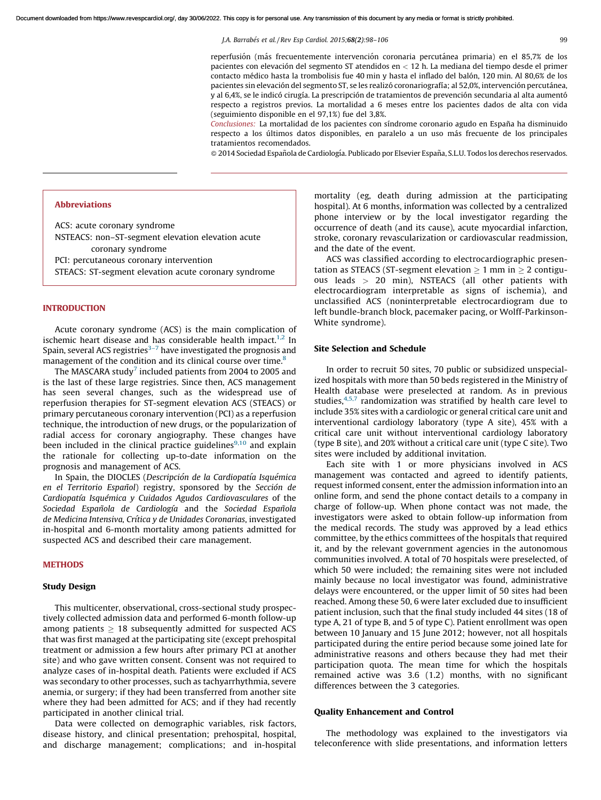reperfusión (más frecuentemente intervención coronaria percutánea primaria) en el 85,7% de los pacientes con elevacio´n del segmento ST atendidos en < 12 h. La mediana del tiempo desde el primer contacto médico hasta la trombolisis fue 40 min y hasta el inflado del balón, 120 min. Al 80,6% de los pacientes sin elevación del segmento ST, se les realizó coronariografía; al 52,0%, intervención percutánea, y al 6,4%, se le indicó cirugía. La prescripción de tratamientos de prevención secundaria al alta aumentó respecto a registros previos. La mortalidad a 6 meses entre los pacientes dados de alta con vida (seguimiento disponible en el 97,1%) fue del 3,8%.

Conclusiones: La mortalidad de los pacientes con síndrome coronario agudo en España ha disminuido respecto a los últimos datos disponibles, en paralelo a un uso más frecuente de los principales tratamientos recomendados.

 $\odot$  2014 Sociedad Española de Cardiología. Publicado por Elsevier España, S.L.U. Todos los derechos reservados.

## Abbreviations

ACS: acute coronary syndrome NSTEACS: non–ST-segment elevation elevation acute coronary syndrome

PCI: percutaneous coronary intervention

STEACS: ST-segment elevation acute coronary syndrome

## INTRODUCTION

Acute coronary syndrome (ACS) is the main complication of ischemic heart disease and has considerable health impact.<sup>[1,2](#page-8-0)</sup> In Spain, several ACS registries $3-7$  have investigated the prognosis and management of the condition and its clinical course over time.<sup>[8](#page-8-0)</sup>

The MASCARA study $^7$  $^7$  included patients from 2004 to 2005 and is the last of these large registries. Since then, ACS management has seen several changes, such as the widespread use of reperfusion therapies for ST-segment elevation ACS (STEACS) or primary percutaneous coronary intervention (PCI) as a reperfusion technique, the introduction of new drugs, or the popularization of radial access for coronary angiography. These changes have been included in the clinical practice guidelines $9,10$  and explain the rationale for collecting up-to-date information on the prognosis and management of ACS.

In Spain, the DIOCLES (*Descripcio´n de la Cardiopatı´a Isque´mica en el Territorio Espan˜ol*) registry, sponsored by the *Seccio´n de Cardiopatı´a Isque´mica y Cuidados Agudos Cardiovasculares* of the *Sociedad Espan˜ola de Cardiologı´a* and the *Sociedad Espan˜ola de Medicina Intensiva, Crı´tica y de Unidades Coronarias*, investigated in-hospital and 6-month mortality among patients admitted for suspected ACS and described their care management.

## **METHODS**

## Study Design

This multicenter, observational, cross-sectional study prospectively collected admission data and performed 6-month follow-up among patients  $\geq 18$  subsequently admitted for suspected ACS that was first managed at the participating site (except prehospital treatment or admission a few hours after primary PCI at another site) and who gave written consent. Consent was not required to analyze cases of in-hospital death. Patients were excluded if ACS was secondary to other processes, such as tachyarrhythmia, severe anemia, or surgery; if they had been transferred from another site where they had been admitted for ACS; and if they had recently participated in another clinical trial.

Data were collected on demographic variables, risk factors, disease history, and clinical presentation; prehospital, hospital, and discharge management; complications; and in-hospital mortality (eg, death during admission at the participating hospital). At 6 months, information was collected by a centralized phone interview or by the local investigator regarding the occurrence of death (and its cause), acute myocardial infarction, stroke, coronary revascularization or cardiovascular readmission, and the date of the event.

ACS was classified according to electrocardiographic presentation as STEACS (ST-segment elevation  $\geq 1$  mm in  $\geq 2$  contiguous leads > 20 min), NSTEACS (all other patients with electrocardiogram interpretable as signs of ischemia), and unclassified ACS (noninterpretable electrocardiogram due to left bundle-branch block, pacemaker pacing, or Wolff-Parkinson-White syndrome).

#### Site Selection and Schedule

In order to recruit 50 sites, 70 public or subsidized unspecialized hospitals with more than 50 beds registered in the Ministry of Health database were preselected at random. As in previous studies, [4,5,7](#page-8-0) randomization was stratified by health care level to include 35% sites with a cardiologic or general critical care unit and interventional cardiology laboratory (type A site), 45% with a critical care unit without interventional cardiology laboratory (type B site), and 20% without a critical care unit (type C site). Two sites were included by additional invitation.

Each site with 1 or more physicians involved in ACS management was contacted and agreed to identify patients, request informed consent, enter the admission information into an online form, and send the phone contact details to a company in charge of follow-up. When phone contact was not made, the investigators were asked to obtain follow-up information from the medical records. The study was approved by a lead ethics committee, by the ethics committees of the hospitals that required it, and by the relevant government agencies in the autonomous communities involved. A total of 70 hospitals were preselected, of which 50 were included; the remaining sites were not included mainly because no local investigator was found, administrative delays were encountered, or the upper limit of 50 sites had been reached. Among these 50, 6 were later excluded due to insufficient patient inclusion, such that the final study included 44 sites (18 of type A, 21 of type B, and 5 of type C). Patient enrollment was open between 10 January and 15 June 2012; however, not all hospitals participated during the entire period because some joined late for administrative reasons and others because they had met their participation quota. The mean time for which the hospitals remained active was 3.6 (1.2) months, with no significant differences between the 3 categories.

## Quality Enhancement and Control

The methodology was explained to the investigators via teleconference with slide presentations, and information letters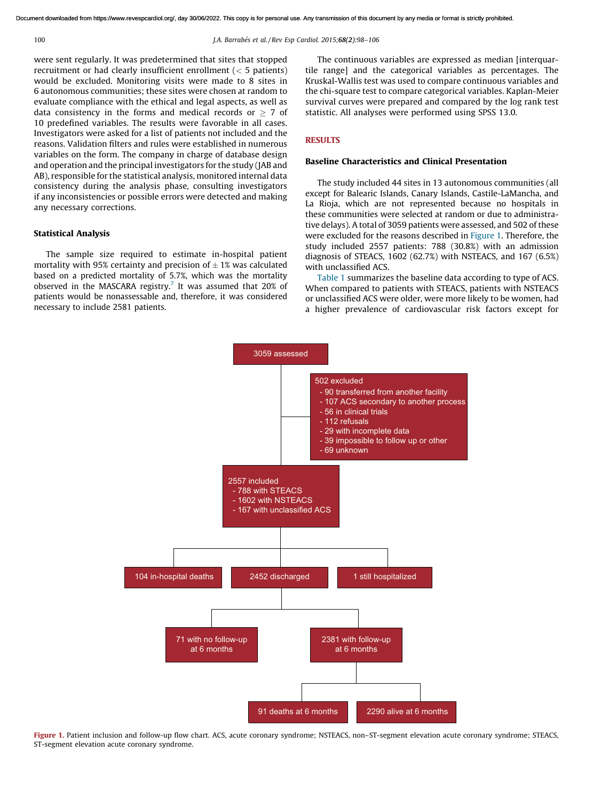were sent regularly. It was predetermined that sites that stopped recruitment or had clearly insufficient enrollment (< 5 patients) would be excluded. Monitoring visits were made to 8 sites in 6 autonomous communities; these sites were chosen at random to evaluate compliance with the ethical and legal aspects, as well as data consistency in the forms and medical records or  $\geq 7$  of 10 predefined variables. The results were favorable in all cases. Investigators were asked for a list of patients not included and the reasons. Validation filters and rules were established in numerous variables on the form. The company in charge of database design and operation and the principal investigators for the study (JAB and AB), responsible for the statistical analysis, monitored internal data consistency during the analysis phase, consulting investigators if any inconsistencies or possible errors were detected and making any necessary corrections.

## Statistical Analysis

The sample size required to estimate in-hospital patient mortality with 95% certainty and precision of  $\pm$  1% was calculated based on a predicted mortality of 5.7%, which was the mortality observed in the MASCARA registry.<sup>[7](#page-8-0)</sup> It was assumed that 20% of patients would be nonassessable and, therefore, it was considered necessary to include 2581 patients.

The continuous variables are expressed as median [interquartile range] and the categorical variables as percentages. The Kruskal-Wallis test was used to compare continuous variables and the chi-square test to compare categorical variables. Kaplan-Meier survival curves were prepared and compared by the log rank test statistic. All analyses were performed using SPSS 13.0.

# **RESULTS**

## Baseline Characteristics and Clinical Presentation

The study included 44 sites in 13 autonomous communities (all except for Balearic Islands, Canary Islands, Castile-LaMancha, and La Rioja, which are not represented because no hospitals in these communities were selected at random or due to administrative delays). A total of 3059 patients were assessed, and 502 of these were excluded for the reasons described in Figure 1. Therefore, the study included 2557 patients: 788 (30.8%) with an admission diagnosis of STEACS, 1602 (62.7%) with NSTEACS, and 167 (6.5%) with unclassified ACS.

[Table](#page-3-0) 1 summarizes the baseline data according to type of ACS. When compared to patients with STEACS, patients with NSTEACS or unclassified ACS were older, were more likely to be women, had a higher prevalence of cardiovascular risk factors except for



Figure 1. Patient inclusion and follow-up flow chart. ACS, acute coronary syndrome; NSTEACS, non-ST-segment elevation acute coronary syndrome; STEACS, ST-segment elevation acute coronary syndrome.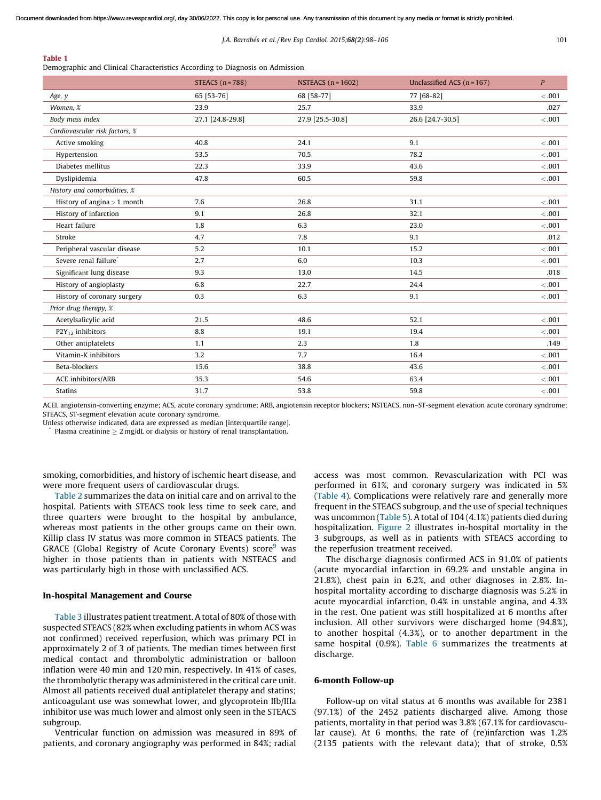## <span id="page-3-0"></span>Table 1

Demographic and Clinical Characteristics According to Diagnosis on Admission

|                                   | STEACS $(n=788)$ | NSTEACS $(n = 1602)$ | Unclassified ACS $(n = 167)$ | $\mathbf{P}$ |
|-----------------------------------|------------------|----------------------|------------------------------|--------------|
| Age, y                            | 65 [53-76]       | 68 [58-77]           | 77 [68-82]                   | < .001       |
| Women, %                          | 23.9             | 25.7                 | 33.9                         | .027         |
| Body mass index                   | 27.1 [24.8-29.8] | 27.9 [25.5-30.8]     | 26.6 [24.7-30.5]             | < 0.001      |
| Cardiovascular risk factors, %    |                  |                      |                              |              |
| Active smoking                    | 40.8             | 24.1                 | 9.1                          | < .001       |
| Hypertension                      | 53.5             | 70.5                 | 78.2                         | < 0.001      |
| Diabetes mellitus                 | 22.3             | 33.9                 | 43.6                         | < 0.001      |
| Dyslipidemia                      | 47.8             | 60.5                 | 59.8                         | < .001       |
| History and comorbidities, %      |                  |                      |                              |              |
| History of angina $>$ 1 month     | 7.6              | 26.8                 | 31.1                         | < 0.001      |
| History of infarction             | 9.1              | 26.8                 | 32.1                         | < 0.001      |
| Heart failure                     | 1.8              | 6.3                  | 23.0                         | < 0.001      |
| Stroke                            | 4.7              | 7.8                  | 9.1                          | .012         |
| Peripheral vascular disease       | 5.2              | 10.1                 | 15.2                         | < 0.001      |
| Severe renal failure <sup>*</sup> | 2.7              | 6.0                  | 10.3                         | < 0.001      |
| Significant lung disease          | 9.3              | 13.0                 | 14.5                         | .018         |
| History of angioplasty            | 6.8              | 22.7                 | 24.4                         | < 0.001      |
| History of coronary surgery       | 0.3              | 6.3                  | 9.1                          | < 0.001      |
| Prior drug therapy, %             |                  |                      |                              |              |
| Acetylsalicylic acid              | 21.5             | 48.6                 | 52.1                         | < 0.001      |
| $P2Y_{12}$ inhibitors             | 8.8              | 19.1                 | 19.4                         | < 0.001      |
| Other antiplatelets               | 1.1              | 2.3                  | 1.8                          | .149         |
| Vitamin-K inhibitors              | 3.2              | 7.7                  | 16.4                         | < 0.001      |
| Beta-blockers                     | 15.6             | 38.8                 | 43.6                         | < 0.001      |
| ACE inhibitors/ARB                | 35.3             | 54.6                 | 63.4                         | < 0.001      |
| <b>Statins</b>                    | 31.7             | 53.8                 | 59.8                         | < 0.001      |

ACEI, angiotensin-converting enzyme; ACS, acute coronary syndrome; ARB, angiotensin receptor blockers; NSTEACS, non–ST-segment elevation acute coronary syndrome; STEACS, ST-segment elevation acute coronary syndrome.

Unless otherwise indicated, data are expressed as median [interquartile range].

\* Plasma creatinine  $\geq 2$  mg/dL or dialysis or history of renal transplantation.

smoking, comorbidities, and history of ischemic heart disease, and were more frequent users of cardiovascular drugs.

[Table](#page-4-0) 2 summarizes the data on initial care and on arrival to the hospital. Patients with STEACS took less time to seek care, and three quarters were brought to the hospital by ambulance, whereas most patients in the other groups came on their own. Killip class IV status was more common in STEACS patients. The GRACE (Global Registry of Acute Coronary Events) score<sup>[9](#page-8-0)</sup> was higher in those patients than in patients with NSTEACS and was particularly high in those with unclassified ACS.

## In-hospital Management and Course

[Table](#page-4-0) 3 illustrates patient treatment. A total of 80% of those with suspected STEACS (82% when excluding patients in whom ACS was not confirmed) received reperfusion, which was primary PCI in approximately 2 of 3 of patients. The median times between first medical contact and thrombolytic administration or balloon inflation were 40 min and 120 min, respectively. In 41% of cases, the thrombolytic therapy was administered in the critical care unit. Almost all patients received dual antiplatelet therapy and statins; anticoagulant use was somewhat lower, and glycoprotein IIb/IIIa inhibitor use was much lower and almost only seen in the STEACS subgroup.

Ventricular function on admission was measured in 89% of patients, and coronary angiography was performed in 84%; radial

access was most common. Revascularization with PCI was performed in 61%, and coronary surgery was indicated in 5% ([Table](#page-5-0) 4). Complications were relatively rare and generally more frequent in the STEACS subgroup, and the use of special techniques was uncommon ([Table](#page-5-0) 5). A total of 104 (4.1%) patients died during hospitalization. [Figure](#page-6-0) 2 illustrates in-hospital mortality in the 3 subgroups, as well as in patients with STEACS according to the reperfusion treatment received.

The discharge diagnosis confirmed ACS in 91.0% of patients (acute myocardial infarction in 69.2% and unstable angina in 21.8%), chest pain in 6.2%, and other diagnoses in 2.8%. Inhospital mortality according to discharge diagnosis was 5.2% in acute myocardial infarction, 0.4% in unstable angina, and 4.3% in the rest. One patient was still hospitalized at 6 months after inclusion. All other survivors were discharged home (94.8%), to another hospital (4.3%), or to another department in the same hospital (0.9%). [Table](#page-6-0) 6 summarizes the treatments at discharge.

## 6-month Follow-up

Follow-up on vital status at 6 months was available for 2381 (97.1%) of the 2452 patients discharged alive. Among those patients, mortality in that period was 3.8% (67.1% for cardiovascular cause). At 6 months, the rate of (re)infarction was 1.2% (2135 patients with the relevant data); that of stroke, 0.5%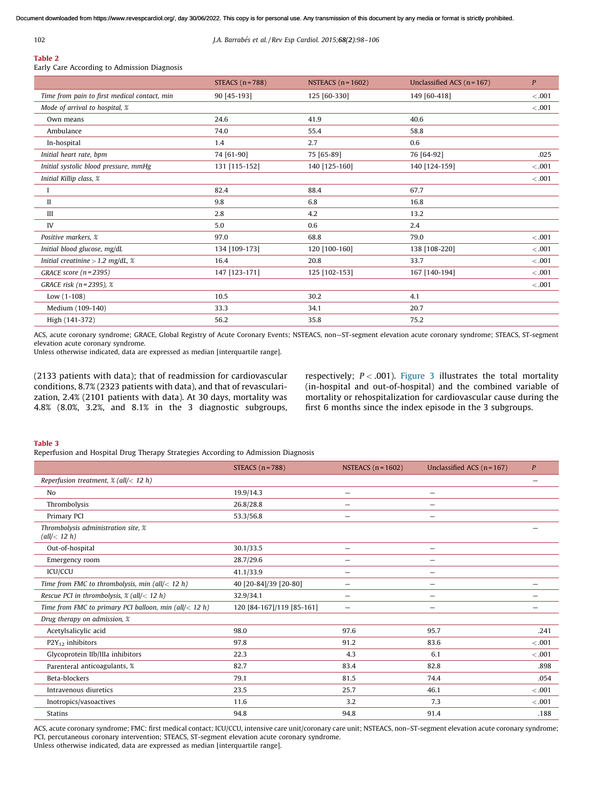<span id="page-4-0"></span>

# Table 2

Early Care According to Admission Diagnosis

|                                              | STEACS $(n = 788)$ | NSTEACS $(n=1602)$ | Unclassified ACS $(n = 167)$ | $\boldsymbol{P}$ |
|----------------------------------------------|--------------------|--------------------|------------------------------|------------------|
| Time from pain to first medical contact, min | 90 [45-193]        | 125 [60-330]       | 149 [60-418]                 | < 0.001          |
| Mode of arrival to hospital, %               |                    |                    |                              | < 0.001          |
| Own means                                    | 24.6               | 41.9               | 40.6                         |                  |
| Ambulance                                    | 74.0               | 55.4               | 58.8                         |                  |
| In-hospital                                  | 1.4                | 2.7                | 0.6                          |                  |
| Initial heart rate, bpm                      | 74 [61-90]         | 75 [65-89]         | 76 [64-92]                   | .025             |
| Initial systolic blood pressure, mmHg        | 131 [115-152]      | 140 [125-160]      | 140 [124-159]                | < 0.001          |
| Initial Killip class, %                      |                    |                    |                              | < 0.001          |
| -1                                           | 82.4               | 88.4               | 67.7                         |                  |
| $\mathbf{I}$                                 | 9.8                | 6.8                | 16.8                         |                  |
| III                                          | 2.8                | 4.2                | 13.2                         |                  |
| IV                                           | 5.0                | 0.6                | 2.4                          |                  |
| Positive markers. %                          | 97.0               | 68.8               | 79.0                         | < 0.001          |
| Initial blood glucose, mg/dL                 | 134 [109-173]      | 120 [100-160]      | 138 [108-220]                | < 0.001          |
| Initial creatinine $> 1.2$ mg/dL, $\%$       | 16.4               | 20.8               | 33.7                         | < 0.001          |
| GRACE score $(n=2395)$                       | 147 [123-171]      | 125 [102-153]      | 167 [140-194]                | < 0.001          |
| GRACE risk ( $n = 2395$ ), %                 |                    |                    |                              | < 0.001          |
| Low $(1-108)$                                | 10.5               | 30.2               | 4.1                          |                  |
| Medium (109-140)                             | 33.3               | 34.1               | 20.7                         |                  |
| High (141-372)                               | 56.2               | 35.8               | 75.2                         |                  |

ACS, acute coronary syndrome; GRACE, Global Registry of Acute Coronary Events; NSTEACS, non—ST-segment elevation acute coronary syndrome; STEACS, ST-segment elevation acute coronary syndrome.

Unless otherwise indicated, data are expressed as median [interquartile range].

(2133 patients with data); that of readmission for cardiovascular conditions, 8.7% (2323 patients with data), and that of revascularization, 2.4% (2101 patients with data). At 30 days, mortality was 4.8% (8.0%, 3.2%, and 8.1% in the 3 diagnostic subgroups, respectively;  $P < .001$ ). [Figure](#page-6-0) 3 illustrates the total mortality (in-hospital and out-of-hospital) and the combined variable of mortality or rehospitalization for cardiovascular cause during the first 6 months since the index episode in the 3 subgroups.

#### Table 3

Reperfusion and Hospital Drug Therapy Strategies According to Admission Diagnosis

|                                                           | STEACS $(n=788)$          | NSTEACS $(n=1602)$       | Unclassified ACS $(n = 167)$   | $\mathbf{P}$ |
|-----------------------------------------------------------|---------------------------|--------------------------|--------------------------------|--------------|
| Reperfusion treatment, $\mathscr{X}$ (all/< 12 h)         |                           |                          |                                |              |
| No                                                        | 19.9/14.3                 |                          | $\overline{\phantom{0}}$       |              |
| Thrombolysis                                              | 26.8/28.8                 |                          |                                |              |
| Primary PCI                                               | 53.3/56.8                 |                          | $\qquad \qquad \longleftarrow$ |              |
| Thrombolysis administration site, %<br>(all/ $<$ 12 h)    |                           |                          |                                |              |
| Out-of-hospital                                           | 30.1/33.5                 |                          | $\overline{\phantom{0}}$       |              |
| Emergency room                                            | 28.7/29.6                 |                          |                                |              |
| <b>ICU/CCU</b>                                            | 41.1/33.9                 | $\overline{\phantom{0}}$ | $\overline{\phantom{m}}$       |              |
| Time from FMC to thrombolysis, min (all/ $<$ 12 h)        | 40 [20-84]/39 [20-80]     | $\overline{\phantom{0}}$ |                                |              |
| Rescue PCI in thrombolysis, $\mathscr{X}$ (all/< 12 h)    | 32.9/34.1                 | $\overline{\phantom{0}}$ |                                |              |
| Time from FMC to primary PCI balloon, min (all/ $<$ 12 h) | 120 [84-167]/119 [85-161] | $\overline{\phantom{0}}$ |                                |              |
| Drug therapy on admission, %                              |                           |                          |                                |              |
| Acetylsalicylic acid                                      | 98.0                      | 97.6                     | 95.7                           | .241         |
| $P2Y_{12}$ inhibitors                                     | 97.8                      | 91.2                     | 83.6                           | < .001       |
| Glycoprotein IIb/IIIa inhibitors                          | 22.3                      | 4.3                      | 6.1                            | $-.001$      |
| Parenteral anticoagulants, %                              | 82.7                      | 83.4                     | 82.8                           | .898         |
| Beta-blockers                                             | 79.1                      | 81.5                     | 74.4                           | .054         |
| Intravenous diuretics                                     | 23.5                      | 25.7                     | 46.1                           | < .001       |
| Inotropics/vasoactives                                    | 11.6                      | 3.2                      | 7.3                            | $-.001$      |
| <b>Statins</b>                                            | 94.8                      | 94.8                     | 91.4                           | .188         |

ACS, acute coronary syndrome; FMC: first medical contact; ICU/CCU, intensive care unit/coronary care unit; NSTEACS, non–ST-segment elevation acute coronary syndrome; PCI, percutaneous coronary intervention; STEACS, ST-segment elevation acute coronary syndrome. Unless otherwise indicated, data are expressed as median [interquartile range].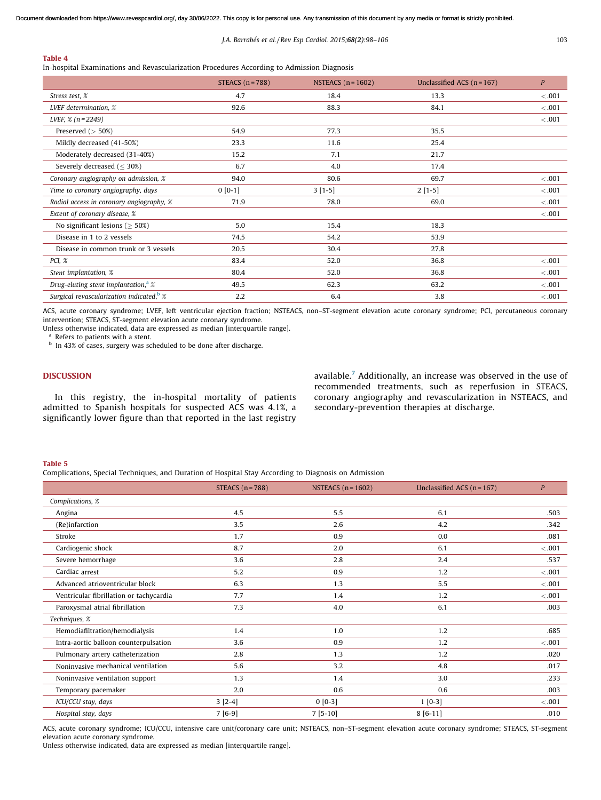## <span id="page-5-0"></span>Table 4

In-hospital Examinations and Revascularization Procedures According to Admission Diagnosis

|                                                      | STEACS $(n = 788)$ | NSTEACS $(n=1602)$ | Unclassified ACS $(n = 167)$ | $\boldsymbol{P}$ |
|------------------------------------------------------|--------------------|--------------------|------------------------------|------------------|
| Stress test, %                                       | 4.7                | 18.4               | 13.3                         | < 0.001          |
| LVEF determination, %                                | 92.6               | 88.3               | 84.1                         | < .001           |
| LVEF, $\frac{8}{1}$ (n = 2249)                       |                    |                    |                              | < .001           |
| Preserved $($ > 50%)                                 | 54.9               | 77.3               | 35.5                         |                  |
| Mildly decreased (41-50%)                            | 23.3               | 11.6               | 25.4                         |                  |
| Moderately decreased (31-40%)                        | 15.2               | 7.1                | 21.7                         |                  |
| Severely decreased ( $\leq$ 30%)                     | 6.7                | 4.0                | 17.4                         |                  |
| Coronary angiography on admission, %                 | 94.0               | 80.6               | 69.7                         | < 0.001          |
| Time to coronary angiography, days                   | $0 [0-1]$          | $3[1-5]$           | $2[1-5]$                     | < 0.001          |
| Radial access in coronary angiography, %             | 71.9               | 78.0               | 69.0                         | < .001           |
| Extent of coronary disease, %                        |                    |                    |                              | < 0.001          |
| No significant lesions ( $>$ 50%)                    | 5.0                | 15.4               | 18.3                         |                  |
| Disease in 1 to 2 vessels                            | 74.5               | 54.2               | 53.9                         |                  |
| Disease in common trunk or 3 vessels                 | 20.5               | 30.4               | 27.8                         |                  |
| PCI, %                                               | 83.4               | 52.0               | 36.8                         | < 0.001          |
| Stent implantation, %                                | 80.4               | 52.0               | 36.8                         | < 0.001          |
| Drug-eluting stent implantation, <sup>a</sup> $\chi$ | 49.5               | 62.3               | 63.2                         | < 0.001          |
| Surgical revascularization indicated, $\frac{b}{x}$  | 2.2                | 6.4                | 3.8                          | < 0.001          |

ACS, acute coronary syndrome; LVEF, left ventricular ejection fraction; NSTEACS, non–ST-segment elevation acute coronary syndrome; PCI, percutaneous coronary intervention; STEACS, ST-segment elevation acute coronary syndrome.

Unless otherwise indicated, data are expressed as median [interquartile range].

Refers to patients with a stent.

<sup>b</sup> In 43% of cases, surgery was scheduled to be done after discharge.

# DISCUSSION

In this registry, the in-hospital mortality of patients admitted to Spanish hospitals for suspected ACS was 4.1%, a significantly lower figure than that reported in the last registry available.<sup>[7](#page-8-0)</sup> Additionally, an increase was observed in the use of recommended treatments, such as reperfusion in STEACS, coronary angiography and revascularization in NSTEACS, and secondary-prevention therapies at discharge.

## Table 5

Complications, Special Techniques, and Duration of Hospital Stay According to Diagnosis on Admission

|                                         | STEACS $(n = 788)$ | NSTEACS $(n = 1602)$ | Unclassified ACS $(n=167)$ | $\boldsymbol{P}$ |
|-----------------------------------------|--------------------|----------------------|----------------------------|------------------|
| Complications, %                        |                    |                      |                            |                  |
| Angina                                  | 4.5                | 5.5                  | 6.1                        | .503             |
| (Re)infarction                          | 3.5                | 2.6                  | 4.2                        | .342             |
| Stroke                                  | 1.7                | 0.9                  | 0.0                        | .081             |
| Cardiogenic shock                       | 8.7                | 2.0                  | 6.1                        | < 0.001          |
| Severe hemorrhage                       | 3.6                | 2.8                  | 2.4                        | .537             |
| Cardiac arrest                          | 5.2                | 0.9                  | 1.2                        | $-.001$          |
| Advanced atrioventricular block         | 6.3                | 1.3                  | 5.5                        | < 0.001          |
| Ventricular fibrillation or tachycardia | 7.7                | 1.4                  | 1.2                        | < 0.001          |
| Paroxysmal atrial fibrillation          | 7.3                | 4.0                  | 6.1                        | .003             |
| Techniques, %                           |                    |                      |                            |                  |
| Hemodiafiltration/hemodialysis          | 1.4                | 1.0                  | 1.2                        | .685             |
| Intra-aortic balloon counterpulsation   | 3.6                | 0.9                  | 1.2                        | < 0.001          |
| Pulmonary artery catheterization        | 2.8                | 1.3                  | 1.2                        | .020             |
| Noninvasive mechanical ventilation      | 5.6                | 3.2                  | 4.8                        | .017             |
| Noninvasive ventilation support         | 1.3                | 1.4                  | 3.0                        | .233             |
| Temporary pacemaker                     | 2.0                | 0.6                  | 0.6                        | .003             |
| ICU/CCU stay, days                      | $3[2-4]$           | $0 [0-3]$            | $1[0-3]$                   | < 0.001          |
| Hospital stay, days                     | $7[6-9]$           | $7[5-10]$            | $8[6-11]$                  | .010             |

ACS, acute coronary syndrome; ICU/CCU, intensive care unit/coronary care unit; NSTEACS, non–ST-segment elevation acute coronary syndrome; STEACS, ST-segment elevation acute coronary syndrome.

Unless otherwise indicated, data are expressed as median [interquartile range].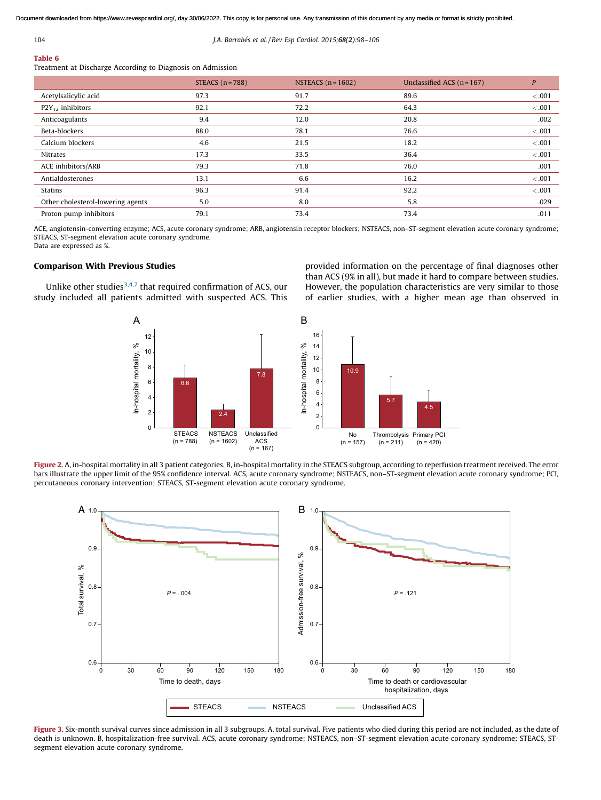<span id="page-6-0"></span>

## Table 6

Treatment at Discharge According to Diagnosis on Admission

|                                   | STEACS $(n = 788)$ | NSTEACS $(n=1602)$ | Unclassified ACS $(n = 167)$ | P       |
|-----------------------------------|--------------------|--------------------|------------------------------|---------|
| Acetylsalicylic acid              | 97.3               | 91.7               | 89.6                         | < 0.001 |
| $P2Y_{12}$ inhibitors             | 92.1               | 72.2               | 64.3                         | < 0.001 |
| Anticoagulants                    | 9.4                | 12.0               | 20.8                         | .002    |
| Beta-blockers                     | 88.0               | 78.1               | 76.6                         | < 0.001 |
| Calcium blockers                  | 4.6                | 21.5               | 18.2                         | < 0.001 |
| <b>Nitrates</b>                   | 17.3               | 33.5               | 36.4                         | < 0.001 |
| ACE inhibitors/ARB                | 79.3               | 71.8               | 76.0                         | .001    |
| Antialdosterones                  | 13.1               | 6.6                | 16.2                         | < 0.001 |
| Statins                           | 96.3               | 91.4               | 92.2                         | < 0.001 |
| Other cholesterol-lowering agents | 5.0                | 8.0                | 5.8                          | .029    |
| Proton pump inhibitors            | 79.1               | 73.4               | 73.4                         | .011    |

ACE, angiotensin-converting enzyme; ACS, acute coronary syndrome; ARB, angiotensin receptor blockers; NSTEACS, non–ST-segment elevation acute coronary syndrome; STEACS, ST-segment elevation acute coronary syndrome. Data are expressed as %.

# Comparison With Previous Studies

Unlike other studies $3,4,7$  that required confirmation of ACS, our study included all patients admitted with suspected ACS. This



provided information on the percentage of final diagnoses other than ACS (9% in all), but made it hard to compare between studies. However, the population characteristics are very similar to those of earlier studies, with a higher mean age than observed in



Figure 2. A, in-hospital mortality in all 3 patient categories. B, in-hospital mortality in the STEACS subgroup, according to reperfusion treatment received. The error bars illustrate the upper limit of the 95% confidence interval. ACS, acute coronary syndrome; NSTEACS, non–ST-segment elevation acute coronary syndrome; PCI, percutaneous coronary intervention; STEACS, ST-segment elevation acute coronary syndrome.



Figure 3. Six-month survival curves since admission in all 3 subgroups. A, total survival. Five patients who died during this period are not included, as the date of death is unknown. B, hospitalization-free survival. ACS, acute coronary syndrome; NSTEACS, non–ST-segment elevation acute coronary syndrome; STEACS, STsegment elevation acute coronary syndrome.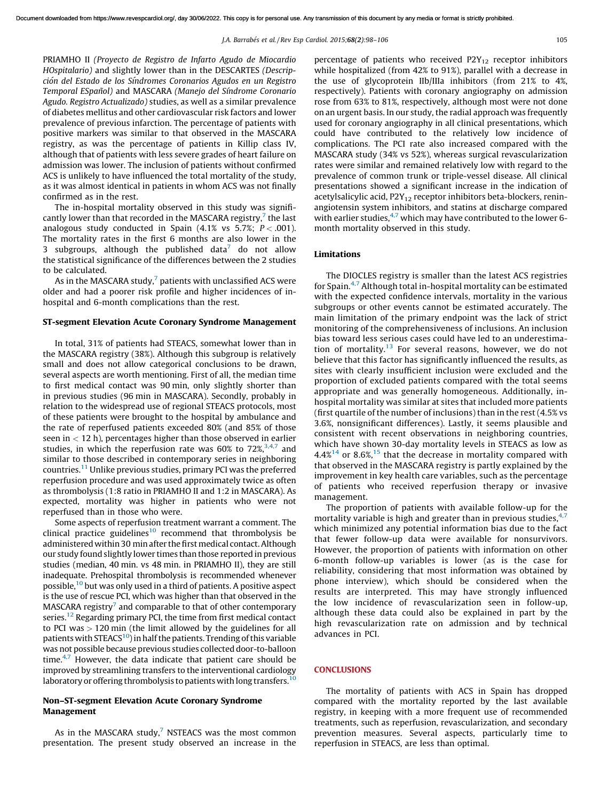PRIAMHO II *(Proyecto de Registro de Infarto Agudo de Miocardio HOspitalario)* and slightly lower than in the DESCARTES *(Descripcio´n del Estado de los Sı´ndromes Coronarios Agudos en un Registro Temporal ESpan˜ol)* and MASCARA *(Manejo del Sı´ndrome Coronario Agudo. Registro Actualizado)* studies, as well as a similar prevalence of diabetes mellitus and other cardiovascular risk factors and lower prevalence of previous infarction. The percentage of patients with positive markers was similar to that observed in the MASCARA registry, as was the percentage of patients in Killip class IV, although that of patients with less severe grades of heart failure on admission was lower. The inclusion of patients without confirmed ACS is unlikely to have influenced the total mortality of the study, as it was almost identical in patients in whom ACS was not finally confirmed as in the rest.

The in-hospital mortality observed in this study was significantly lower than that recorded in the MASCARA registry, $^7$  $^7$  the last analogous study conducted in Spain  $(4.1\% \text{ vs } 5.7\%; P < .001)$ . The mortality rates in the first 6 months are also lower in the 3 subgroups, although the published data $^7$  $^7$  do not allow the statistical significance of the differences between the 2 studies to be calculated.

As in the MASCARA study, $^7$  $^7$  patients with unclassified ACS were older and had a poorer risk profile and higher incidences of inhospital and 6-month complications than the rest.

## ST-segment Elevation Acute Coronary Syndrome Management

In total, 31% of patients had STEACS, somewhat lower than in the MASCARA registry (38%). Although this subgroup is relatively small and does not allow categorical conclusions to be drawn, several aspects are worth mentioning. First of all, the median time to first medical contact was 90 min, only slightly shorter than in previous studies (96 min in MASCARA). Secondly, probably in relation to the widespread use of regional STEACS protocols, most of these patients were brought to the hospital by ambulance and the rate of reperfused patients exceeded 80% (and 85% of those seen in  $<$  12 h), percentages higher than those observed in earlier studies, in which the reperfusion rate was  $60\%$  to  $72\%,^{3,4,7}$  $72\%,^{3,4,7}$  $72\%,^{3,4,7}$  and similar to those described in contemporary series in neighboring countries.[11](#page-8-0) Unlike previous studies, primary PCI was the preferred reperfusion procedure and was used approximately twice as often as thrombolysis (1:8 ratio in PRIAMHO II and 1:2 in MASCARA). As expected, mortality was higher in patients who were not reperfused than in those who were.

Some aspects of reperfusion treatment warrant a comment. The clinical practice guidelines $10$  recommend that thrombolysis be administered within 30 min after the first medical contact. Although our study found slightly lower times than those reported in previous studies (median, 40 min. vs 48 min. in PRIAMHO II), they are still inadequate. Prehospital thrombolysis is recommended whenever possible,[10](#page-8-0) but was only used in a third of patients. A positive aspect is the use of rescue PCI, which was higher than that observed in the  $MASCARA$  registry<sup>[7](#page-8-0)</sup> and comparable to that of other contemporary series.<sup>[12](#page-8-0)</sup> Regarding primary PCI, the time from first medical contact to PCI was > 120 min (the limit allowed by the guidelines for all patients with STEACS $^{10}$  $^{10}$  $^{10}$ ) in half the patients. Trending of this variable was not possible because previous studies collected door-to-balloon time. $4,7$  However, the data indicate that patient care should be improved by streamlining transfers to the interventional cardiology laboratory or offering thrombolysis to patients with long transfers.<sup>[10](#page-8-0)</sup>

# Non–ST-segment Elevation Acute Coronary Syndrome Management

As in the MASCARA study, $7$  NSTEACS was the most common presentation. The present study observed an increase in the percentage of patients who received  $P2Y_{12}$  receptor inhibitors while hospitalized (from 42% to 91%), parallel with a decrease in the use of glycoprotein IIb/IIIa inhibitors (from 21% to 4%, respectively). Patients with coronary angiography on admission rose from 63% to 81%, respectively, although most were not done on an urgent basis. In our study, the radial approach was frequently used for coronary angiography in all clinical presentations, which could have contributed to the relatively low incidence of complications. The PCI rate also increased compared with the MASCARA study (34% vs 52%), whereas surgical revascularization rates were similar and remained relatively low with regard to the prevalence of common trunk or triple-vessel disease. All clinical presentations showed a significant increase in the indication of acetylsalicylic acid,  $P2Y_{12}$  receptor inhibitors beta-blockers, reninangiotensin system inhibitors, and statins at discharge compared with earlier studies, $4.7$  which may have contributed to the lower 6month mortality observed in this study.

## Limitations

The DIOCLES registry is smaller than the latest ACS registries for Spain.[4,7](#page-8-0) Although total in-hospital mortality can be estimated with the expected confidence intervals, mortality in the various subgroups or other events cannot be estimated accurately. The main limitation of the primary endpoint was the lack of strict monitoring of the comprehensiveness of inclusions. An inclusion bias toward less serious cases could have led to an underestima-tion of mortality.<sup>[13](#page-8-0)</sup> For several reasons, however, we do not believe that this factor has significantly influenced the results, as sites with clearly insufficient inclusion were excluded and the proportion of excluded patients compared with the total seems appropriate and was generally homogeneous. Additionally, inhospital mortality was similar at sites that included more patients (first quartile of the number of inclusions) than in the rest (4.5% vs 3.6%, nonsignificant differences). Lastly, it seems plausible and consistent with recent observations in neighboring countries, which have shown 30-day mortality levels in STEACS as low as  $4.4\%$ <sup>[14](#page-8-0)</sup> or 8.6%,<sup>[15](#page-8-0)</sup> that the decrease in mortality compared with that observed in the MASCARA registry is partly explained by the improvement in key health care variables, such as the percentage of patients who received reperfusion therapy or invasive management.

The proportion of patients with available follow-up for the mortality variable is high and greater than in previous studies,  $4.7$ which minimized any potential information bias due to the fact that fewer follow-up data were available for nonsurvivors. However, the proportion of patients with information on other 6-month follow-up variables is lower (as is the case for reliability, considering that most information was obtained by phone interview), which should be considered when the results are interpreted. This may have strongly influenced the low incidence of revascularization seen in follow-up, although these data could also be explained in part by the high revascularization rate on admission and by technical advances in PCI.

# **CONCLUSIONS**

The mortality of patients with ACS in Spain has dropped compared with the mortality reported by the last available registry, in keeping with a more frequent use of recommended treatments, such as reperfusion, revascularization, and secondary prevention measures. Several aspects, particularly time to reperfusion in STEACS, are less than optimal.